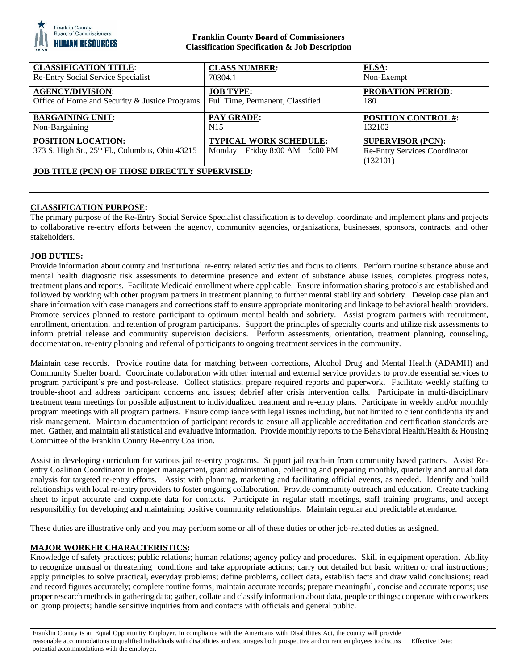

## **Franklin County Board of Commissioners Classification Specification & Job Description**

| <b>CLASSIFICATION TITLE:</b>                         | <b>CLASS NUMBER:</b>                  | <b>FLSA:</b>                         |
|------------------------------------------------------|---------------------------------------|--------------------------------------|
| Re-Entry Social Service Specialist                   | 70304.1                               | Non-Exempt                           |
| <b>AGENCY/DIVISION:</b>                              | <b>JOB TYPE:</b>                      | <b>PROBATION PERIOD:</b>             |
| Office of Homeland Security & Justice Programs       | Full Time, Permanent, Classified      | 180                                  |
| <b>BARGAINING UNIT:</b>                              | <b>PAY GRADE:</b>                     | <b>POSITION CONTROL #:</b>           |
| Non-Bargaining                                       | N15                                   | 132102                               |
| <b>POSITION LOCATION:</b>                            | <b>TYPICAL WORK SCHEDULE:</b>         | <b>SUPERVISOR (PCN):</b>             |
| 373 S. High St., 25th Fl., Columbus, Ohio 43215      | Monday – Friday $8:00$ AM – $5:00$ PM | <b>Re-Entry Services Coordinator</b> |
|                                                      |                                       | (132101)                             |
| <b>JOB TITLE (PCN) OF THOSE DIRECTLY SUPERVISED:</b> |                                       |                                      |
|                                                      |                                       |                                      |
|                                                      |                                       |                                      |

# **CLASSIFICATION PURPOSE:**

The primary purpose of the Re-Entry Social Service Specialist classification is to develop, coordinate and implement plans and projects to collaborative re-entry efforts between the agency, community agencies, organizations, businesses, sponsors, contracts, and other stakeholders.

### **JOB DUTIES:**

Provide information about county and institutional re-entry related activities and focus to clients. Perform routine substance abuse and mental health diagnostic risk assessments to determine presence and extent of substance abuse issues, completes progress notes, treatment plans and reports. Facilitate Medicaid enrollment where applicable. Ensure information sharing protocols are established and followed by working with other program partners in treatment planning to further mental stability and sobriety. Develop case plan and share information with case managers and corrections staff to ensure appropriate monitoring and linkage to behavioral health providers. Promote services planned to restore participant to optimum mental health and sobriety. Assist program partners with recruitment, enrollment, orientation, and retention of program participants. Support the principles of specialty courts and utilize risk assessments to inform pretrial release and community supervision decisions. Perform assessments, orientation, treatment planning, counseling, documentation, re-entry planning and referral of participants to ongoing treatment services in the community.

Maintain case records. Provide routine data for matching between corrections, Alcohol Drug and Mental Health (ADAMH) and Community Shelter board. Coordinate collaboration with other internal and external service providers to provide essential services to program participant's pre and post-release. Collect statistics, prepare required reports and paperwork. Facilitate weekly staffing to trouble-shoot and address participant concerns and issues; debrief after crisis intervention calls. Participate in multi-disciplinary treatment team meetings for possible adjustment to individualized treatment and re-entry plans. Participate in weekly and/or monthly program meetings with all program partners. Ensure compliance with legal issues including, but not limited to client confidentiality and risk management. Maintain documentation of participant records to ensure all applicable accreditation and certification standards are met. Gather, and maintain all statistical and evaluative information. Provide monthly reports to the Behavioral Health/Health & Housing Committee of the Franklin County Re-entry Coalition.

Assist in developing curriculum for various jail re-entry programs. Support jail reach-in from community based partners. Assist Reentry Coalition Coordinator in project management, grant administration, collecting and preparing monthly, quarterly and annual data analysis for targeted re-entry efforts. Assist with planning, marketing and facilitating official events, as needed. Identify and build relationships with local re-entry providers to foster ongoing collaboration. Provide community outreach and education. Create tracking sheet to input accurate and complete data for contacts. Participate in regular staff meetings, staff training programs, and accept responsibility for developing and maintaining positive community relationships. Maintain regular and predictable attendance.

These duties are illustrative only and you may perform some or all of these duties or other job-related duties as assigned.

### **MAJOR WORKER CHARACTERISTICS:**

Knowledge of safety practices; public relations; human relations; agency policy and procedures. Skill in equipment operation. Ability to recognize unusual or threatening conditions and take appropriate actions; carry out detailed but basic written or oral instructions; apply principles to solve practical, everyday problems; define problems, collect data, establish facts and draw valid conclusions; read and record figures accurately; complete routine forms; maintain accurate records; prepare meaningful, concise and accurate reports; use proper research methods in gathering data; gather, collate and classify information about data, people or things; cooperate with coworkers on group projects; handle sensitive inquiries from and contacts with officials and general public.